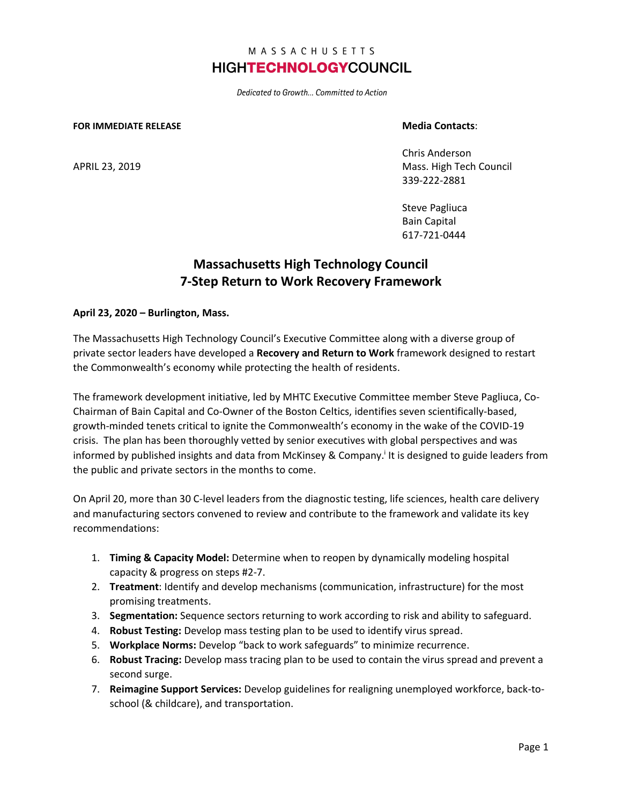# MASSACHUSETTS **HIGHTECHNOLOGYCOUNCIL**

Dedicated to Growth... Committed to Action

#### **FOR IMMEDIATE RELEASE Media Contacts**:

Chris Anderson APRIL 23, 2019 Mass. High Tech Council 339-222-2881

> Steve Pagliuca Bain Capital 617-721-0444

# **Massachusetts High Technology Council 7-Step Return to Work Recovery Framework**

## **April 23, 2020 – Burlington, Mass.**

The Massachusetts High Technology Council's Executive Committee along with a diverse group of private sector leaders have developed a **Recovery and Return to Work** framework designed to restart the Commonwealth's economy while protecting the health of residents.

The framework development initiative, led by MHTC Executive Committee member Steve Pagliuca, Co-Chairman of Bain Capital and Co-Owner of the Boston Celtics, identifies seven scientifically-based, growth-minded tenets critical to ignite the Commonwealth's economy in the wake of the COVID-19 crisis. The plan has been thoroughly vetted by senior executives with global perspectives and was informed by published insights and data from McKinsey & Company.<sup>i</sup> It is designed to guide leaders from the public and private sectors in the months to come.

On April 20, more than 30 C-level leaders from the diagnostic testing, life sciences, health care delivery and manufacturing sectors convened to review and contribute to the framework and validate its key recommendations:

- 1. **Timing & Capacity Model:** Determine when to reopen by dynamically modeling hospital capacity & progress on steps #2-7.
- 2. **Treatment**: Identify and develop mechanisms (communication, infrastructure) for the most promising treatments.
- 3. **Segmentation:** Sequence sectors returning to work according to risk and ability to safeguard.
- 4. **Robust Testing:** Develop mass testing plan to be used to identify virus spread.
- 5. **Workplace Norms:** Develop "back to work safeguards" to minimize recurrence.
- 6. **Robust Tracing:** Develop mass tracing plan to be used to contain the virus spread and prevent a second surge.
- 7. **Reimagine Support Services:** Develop guidelines for realigning unemployed workforce, back-toschool (& childcare), and transportation.